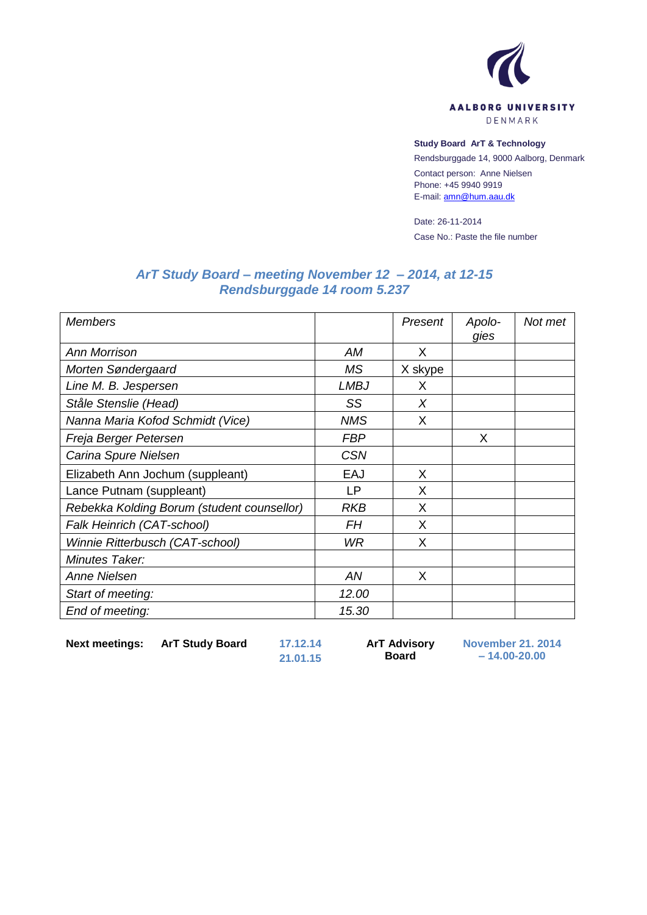

## **Study Board ArT & Technology**

Rendsburggade 14, 9000 Aalborg, Denmark

Contact person: Anne Nielsen Phone: +45 9940 9919 E-mail[: amn@hum.aau.dk](mailto:amn@hum.aau.dk)

Date: 26-11-2014 Case No.: Paste the file number

## *ArT Study Board – meeting November 12 – 2014, at 12-15 Rendsburggade 14 room 5.237*

| <b>Members</b>                             |             | Present | Apolo-<br>gies | Not met |
|--------------------------------------------|-------------|---------|----------------|---------|
| <b>Ann Morrison</b>                        | AM          | X       |                |         |
| Morten Søndergaard                         | <b>MS</b>   | X skype |                |         |
| Line M. B. Jespersen                       | <b>LMBJ</b> | X       |                |         |
| Ståle Stenslie (Head)                      | SS          | X       |                |         |
| Nanna Maria Kofod Schmidt (Vice)           | <b>NMS</b>  | X       |                |         |
| Freja Berger Petersen                      | <b>FBP</b>  |         | X              |         |
| Carina Spure Nielsen                       | <b>CSN</b>  |         |                |         |
| Elizabeth Ann Jochum (suppleant)           | EAJ         | X       |                |         |
| Lance Putnam (suppleant)                   | LP          | X       |                |         |
| Rebekka Kolding Borum (student counsellor) | RKB         | X       |                |         |
| Falk Heinrich (CAT-school)                 | FΗ          | X       |                |         |
| Winnie Ritterbusch (CAT-school)            | WR          | X       |                |         |
| Minutes Taker:                             |             |         |                |         |
| Anne Nielsen                               | AN          | X       |                |         |
| Start of meeting:                          | 12.00       |         |                |         |
| End of meeting:                            | 15.30       |         |                |         |

**Next meetings: ArT Study Board 17.12.14**

**21.01.15**

**ArT Advisory Board**

**November 21. 2014 – 14.00-20.00**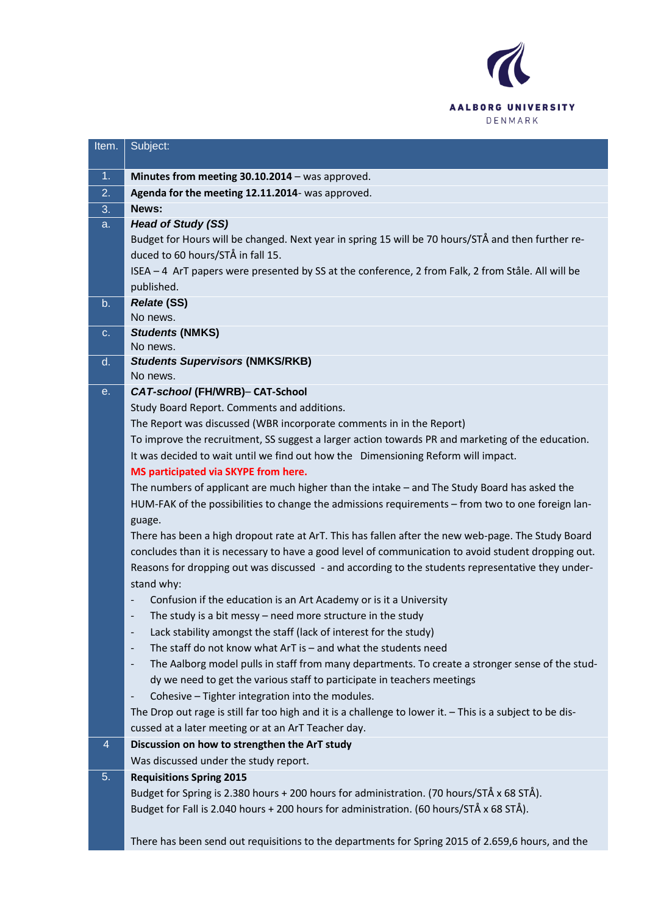

| Item.          | Subject:                                                                                                                                                                             |
|----------------|--------------------------------------------------------------------------------------------------------------------------------------------------------------------------------------|
| 1 <sub>1</sub> | Minutes from meeting 30.10.2014 - was approved.                                                                                                                                      |
| 2.             | Agenda for the meeting 12.11.2014- was approved.                                                                                                                                     |
| 3.             | News:                                                                                                                                                                                |
| a.             | <b>Head of Study (SS)</b>                                                                                                                                                            |
|                | Budget for Hours will be changed. Next year in spring 15 will be 70 hours/STÅ and then further re-                                                                                   |
|                | duced to 60 hours/STÅ in fall 15.                                                                                                                                                    |
|                | ISEA - 4 ArT papers were presented by SS at the conference, 2 from Falk, 2 from Ståle. All will be                                                                                   |
|                | published.                                                                                                                                                                           |
| b.             | <b>Relate (SS)</b>                                                                                                                                                                   |
|                | No news.                                                                                                                                                                             |
| C.             | <b>Students (NMKS)</b>                                                                                                                                                               |
|                | No news.                                                                                                                                                                             |
| d.             | <b>Students Supervisors (NMKS/RKB)</b><br>No news.                                                                                                                                   |
| е.             | CAT-school (FH/WRB)- CAT-School                                                                                                                                                      |
|                | Study Board Report. Comments and additions.                                                                                                                                          |
|                | The Report was discussed (WBR incorporate comments in in the Report)                                                                                                                 |
|                | To improve the recruitment, SS suggest a larger action towards PR and marketing of the education.                                                                                    |
|                | It was decided to wait until we find out how the Dimensioning Reform will impact.                                                                                                    |
|                | MS participated via SKYPE from here.                                                                                                                                                 |
|                | The numbers of applicant are much higher than the intake - and The Study Board has asked the                                                                                         |
|                | HUM-FAK of the possibilities to change the admissions requirements - from two to one foreign lan-                                                                                    |
|                |                                                                                                                                                                                      |
|                | guage.<br>There has been a high dropout rate at ArT. This has fallen after the new web-page. The Study Board                                                                         |
|                | concludes than it is necessary to have a good level of communication to avoid student dropping out.                                                                                  |
|                | Reasons for dropping out was discussed - and according to the students representative they under-                                                                                    |
|                | stand why:                                                                                                                                                                           |
|                | Confusion if the education is an Art Academy or is it a University                                                                                                                   |
|                | The study is a bit messy $-$ need more structure in the study                                                                                                                        |
|                | Lack stability amongst the staff (lack of interest for the study)<br>$\overline{\phantom{a}}$                                                                                        |
|                | The staff do not know what $ArT$ is $-$ and what the students need<br>$\overline{\phantom{a}}$                                                                                       |
|                | The Aalborg model pulls in staff from many departments. To create a stronger sense of the stud-<br>$\overline{\phantom{a}}$                                                          |
|                | dy we need to get the various staff to participate in teachers meetings                                                                                                              |
|                | Cohesive - Tighter integration into the modules.<br>$\qquad \qquad -$                                                                                                                |
|                | The Drop out rage is still far too high and it is a challenge to lower it. - This is a subject to be dis-                                                                            |
|                | cussed at a later meeting or at an ArT Teacher day.                                                                                                                                  |
| 4              | Discussion on how to strengthen the ArT study                                                                                                                                        |
|                | Was discussed under the study report.                                                                                                                                                |
| 5.             | <b>Requisitions Spring 2015</b>                                                                                                                                                      |
|                |                                                                                                                                                                                      |
|                |                                                                                                                                                                                      |
|                |                                                                                                                                                                                      |
|                | There has been send out requisitions to the departments for Spring 2015 of 2.659,6 hours, and the                                                                                    |
|                | Budget for Spring is 2.380 hours + 200 hours for administration. (70 hours/STÅ x 68 STÅ).<br>Budget for Fall is 2.040 hours + 200 hours for administration. (60 hours/STÅ x 68 STÅ). |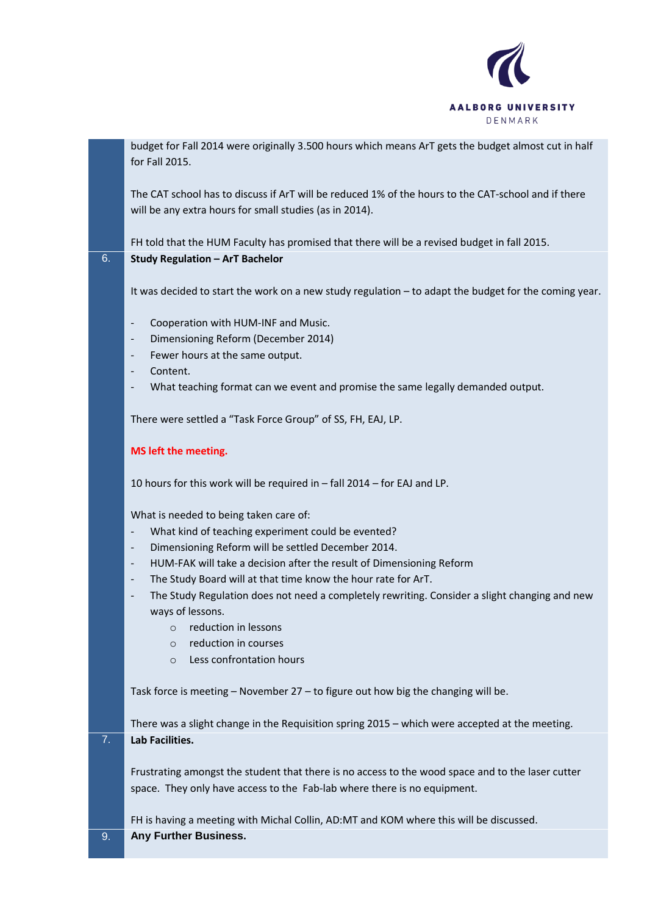

budget for Fall 2014 were originally 3.500 hours which means ArT gets the budget almost cut in half for Fall 2015.

The CAT school has to discuss if ArT will be reduced 1% of the hours to the CAT-school and if there will be any extra hours for small studies (as in 2014).

FH told that the HUM Faculty has promised that there will be a revised budget in fall 2015. 6. **Study Regulation – ArT Bachelor**

It was decided to start the work on a new study regulation – to adapt the budget for the coming year.

- Cooperation with HUM-INF and Music.
- Dimensioning Reform (December 2014)
- Fewer hours at the same output.
- Content.
- What teaching format can we event and promise the same legally demanded output.

There were settled a "Task Force Group" of SS, FH, EAJ, LP.

## **MS left the meeting.**

10 hours for this work will be required in – fall 2014 – for EAJ and LP.

What is needed to being taken care of:

- What kind of teaching experiment could be evented?
- Dimensioning Reform will be settled December 2014.
- HUM-FAK will take a decision after the result of Dimensioning Reform
- The Study Board will at that time know the hour rate for ArT.
- The Study Regulation does not need a completely rewriting. Consider a slight changing and new ways of lessons.
	- o reduction in lessons
	- o reduction in courses
	- o Less confrontation hours

Task force is meeting – November 27 – to figure out how big the changing will be.

There was a slight change in the Requisition spring 2015 – which were accepted at the meeting. 7. **Lab Facilities.**

Frustrating amongst the student that there is no access to the wood space and to the laser cutter space. They only have access to the Fab-lab where there is no equipment.

FH is having a meeting with Michal Collin, AD:MT and KOM where this will be discussed. 9. **Any Further Business.**